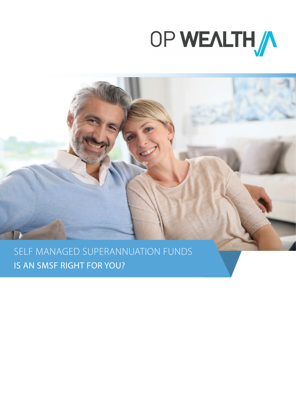



SELF MANAGED SUPERANNUATION FUNDS IS AN SMSF RIGHT FOR YOU?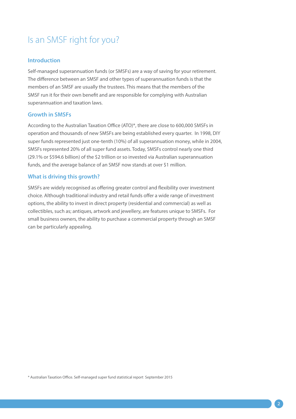# Is an SMSF right for you?

## **Introduction**

Self-managed superannuation funds (or SMSFs) are a way of saving for your retirement. The difference between an SMSF and other types of superannuation funds is that the members of an SMSF are usually the trustees. This means that the members of the SMSF run it for their own benefit and are responsible for complying with Australian superannuation and taxation laws.

## **Growth in SMSFs**

According to the Australian Taxation Office (ATO)\*, there are close to 600,000 SMSFs in operation and thousands of new SMSFs are being established every quarter. In 1998, DIY super funds represented just one-tenth (10%) of all superannuation money, while in 2004, SMSFs represented 20% of all super fund assets. Today, SMSFs control nearly one third (29.1% or \$594.6 billion) of the \$2 trillion or so invested via Australian superannuation funds, and the average balance of an SMSF now stands at over \$1 million.

## **What is driving this growth?**

SMSFs are widely recognised as offering greater control and flexibility over investment choice. Although traditional industry and retail funds offer a wide range of investment options, the ability to invest in direct property (residential and commercial) as well as collectibles, such as; antiques, artwork and jewellery, are features unique to SMSFs. For small business owners, the ability to purchase a commercial property through an SMSF can be particularly appealing.

\* Australian Taxation Office. Self-managed super fund statistical report September 2015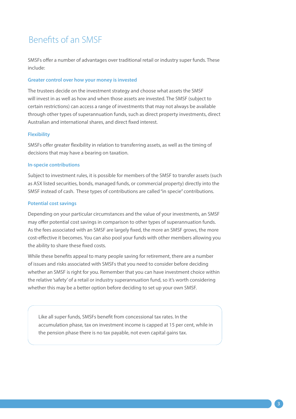# Benefits of an SMSF

SMSFs offer a number of advantages over traditional retail or industry super funds. These include:

### **Greater control over how your money is invested**

The trustees decide on the investment strategy and choose what assets the SMSF will invest in as well as how and when those assets are invested. The SMSF (subject to certain restrictions) can access a range of investments that may not always be available through other types of superannuation funds, such as direct property investments, direct Australian and international shares, and direct fixed interest.

#### **Flexibility**

SMSFs offer greater flexibility in relation to transferring assets, as well as the timing of decisions that may have a bearing on taxation.

### **In-specie contributions**

Subject to investment rules, it is possible for members of the SMSF to transfer assets (such as ASX listed securities, bonds, managed funds, or commercial property) directly into the SMSF instead of cash. These types of contributions are called "in specie" contributions.

#### **Potential cost savings**

Depending on your particular circumstances and the value of your investments, an SMSF may offer potential cost savings in comparison to other types of superannuation funds. As the fees associated with an SMSF are largely fixed, the more an SMSF grows, the more cost-effective it becomes. You can also pool your funds with other members allowing you the ability to share these fixed costs.

While these benefits appeal to many people saving for retirement, there are a number of issues and risks associated with SMSFs that you need to consider before deciding whether an SMSF is right for you. Remember that you can have investment choice within the relative 'safety' of a retail or industry superannuation fund, so it's worth considering whether this may be a better option before deciding to set up your own SMSF.

Like all super funds, SMSFs benefit from concessional tax rates. In the accumulation phase, tax on investment income is capped at 15 per cent, while in the pension phase there is no tax payable, not even capital gains tax.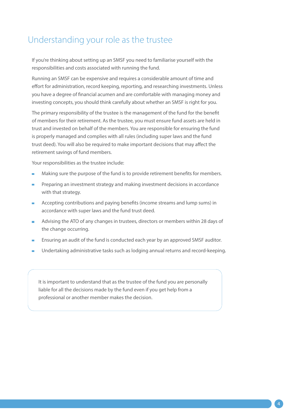## Understanding your role as the trustee

If you're thinking about setting up an SMSF you need to familiarise yourself with the responsibilities and costs associated with running the fund.

Running an SMSF can be expensive and requires a considerable amount of time and effort for administration, record keeping, reporting, and researching investments. Unless you have a degree of financial acumen and are comfortable with managing money and investing concepts, you should think carefully about whether an SMSF is right for you.

The primary responsibility of the trustee is the management of the fund for the benefit of members for their retirement. As the trustee, you must ensure fund assets are held in trust and invested on behalf of the members. You are responsible for ensuring the fund is properly managed and complies with all rules (including super laws and the fund trust deed). You will also be required to make important decisions that may affect the retirement savings of fund members.

Your responsibilities as the trustee include:

- Making sure the purpose of the fund is to provide retirement benefits for members.
- Preparing an investment strategy and making investment decisions in accordance with that strategy.
- Accepting contributions and paying benefits (income streams and lump sums) in accordance with super laws and the fund trust deed.
- Advising the ATO of any changes in trustees, directors or members within 28 days of  $\blacksquare$ the change occurring.
- Ensuring an audit of the fund is conducted each year by an approved SMSF auditor.
- Undertaking administrative tasks such as lodging annual returns and record-keeping.

It is important to understand that as the trustee of the fund you are personally liable for all the decisions made by the fund even if you get help from a professional or another member makes the decision.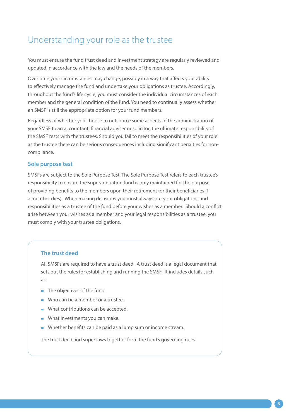## Understanding your role as the trustee

You must ensure the fund trust deed and investment strategy are regularly reviewed and updated in accordance with the law and the needs of the members.

Over time your circumstances may change, possibly in a way that affects your ability to effectively manage the fund and undertake your obligations as trustee. Accordingly, throughout the fund's life cycle, you must consider the individual circumstances of each member and the general condition of the fund. You need to continually assess whether an SMSF is still the appropriate option for your fund members.

Regardless of whether you choose to outsource some aspects of the administration of your SMSF to an accountant, financial adviser or solicitor, the ultimate responsibility of the SMSF rests with the trustees. Should you fail to meet the responsibilities of your role as the trustee there can be serious consequences including significant penalties for noncompliance.

## **Sole purpose test**

SMSFs are subject to the Sole Purpose Test. The Sole Purpose Test refers to each trustee's responsibility to ensure the superannuation fund is only maintained for the purpose of providing benefits to the members upon their retirement (or their beneficiaries if a member dies). When making decisions you must always put your obligations and responsibilities as a trustee of the fund before your wishes as a member. Should a conflict arise between your wishes as a member and your legal responsibilities as a trustee, you must comply with your trustee obligations.

## **The trust deed**

All SMSFs are required to have a trust deed. A trust deed is a legal document that sets out the rules for establishing and running the SMSF. It includes details such as:

- The objectives of the fund.
- Who can be a member or a trustee.
- What contributions can be accepted.
- What investments you can make.
- Whether benefits can be paid as a lump sum or income stream.

The trust deed and super laws together form the fund's governing rules.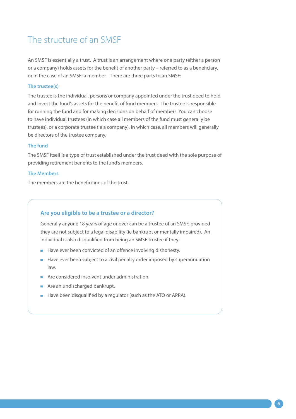## The structure of an SMSF

An SMSF is essentially a trust. A trust is an arrangement where one party (either a person or a company) holds assets for the benefit of another party – referred to as a beneficiary, or in the case of an SMSF; a member. There are three parts to an SMSF:

### **The trustee(s)**

The trustee is the individual, persons or company appointed under the trust deed to hold and invest the fund's assets for the benefit of fund members. The trustee is responsible for running the fund and for making decisions on behalf of members. You can choose to have individual trustees (in which case all members of the fund must generally be trustees), or a corporate trustee (ie a company), in which case, all members will generally be directors of the trustee company.

### **The fund**

The SMSF itself is a type of trust established under the trust deed with the sole purpose of providing retirement benefits to the fund's members.

### **The Members**

The members are the beneficiaries of the trust.

## **Are you eligible to be a trustee or a director?**

Generally anyone 18 years of age or over can be a trustee of an SMSF, provided they are not subject to a legal disability (ie bankrupt or mentally impaired). An individual is also disqualified from being an SMSF trustee if they:

- Have ever been convicted of an offence involving dishonesty.
- $\blacksquare$  Have ever been subject to a civil penalty order imposed by superannuation law.
- **Are considered insolvent under administration.**
- **Are an undischarged bankrupt.**
- Have been disqualified by a regulator (such as the ATO or APRA).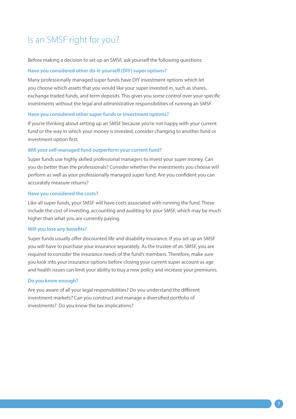# Is an SMSF right for you?

Before making a decision to set up an SMSF, ask yourself the following questions:

### **Have you considered other do-it-yourself (DIY) super options?**

Many professionally managed super funds have DIY investment options which let you choose which assets that you would like your super invested in, such as shares, exchange traded funds, and term deposits. This gives you some control over your specific investments without the legal and administrative responsibilities of running an SMSF.

#### **Have you considered other super funds or investment options?**

If you're thinking about setting up an SMSF because you're not happy with your current fund or the way in which your money is invested, consider changing to another fund or investment option first.

## **Will your self-managed fund outperform your current fund?**

Super funds use highly skilled professional managers to invest your super money. Can you do better than the professionals? Consider whether the investments you choose will perform as well as your professionally managed super fund. Are you confident you can accurately measure returns?

#### **Have you considered the costs?**

Like all super funds, your SMSF will have costs associated with running the fund. These include the cost of investing, accounting and auditing for your SMSF, which may be much higher than what you are currently paying.

### **Will you lose any benefits?**

Super funds usually offer discounted life and disability insurance. If you set up an SMSF you will have to purchase your insurance separately. As the trustee of an SMSF, you are required to consider the insurance needs of the fund's members. Therefore, make sure you look into your insurance options before closing your current super account as age and health issues can limit your ability to buy a new policy and increase your premiums.

### **Do you know enough?**

Are you aware of all your legal responsibilities? Do you understand the different investment markets? Can you construct and manage a diversified portfolio of investments? Do you know the tax implications?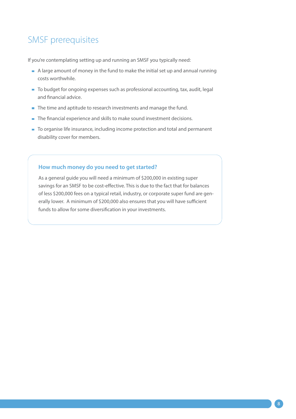# SMSF prerequisites

If you're contemplating setting up and running an SMSF you typically need:

- $\blacksquare$  A large amount of money in the fund to make the initial set up and annual running costs worthwhile.
- To budget for ongoing expenses such as professional accounting, tax, audit, legal and financial advice.
- The time and aptitude to research investments and manage the fund.
- The financial experience and skills to make sound investment decisions.
- To organise life insurance, including income protection and total and permanent disability cover for members.

## **How much money do you need to get started?**

As a general guide you will need a minimum of \$200,000 in existing super savings for an SMSF to be cost-effective. This is due to the fact that for balances of less \$200,000 fees on a typical retail, industry, or corporate super fund are generally lower. A minimum of \$200,000 also ensures that you will have sufficient funds to allow for some diversification in your investments.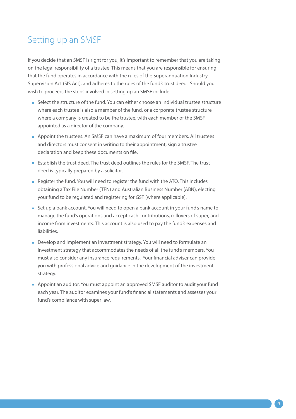## Setting up an SMSF

If you decide that an SMSF is right for you, it's important to remember that you are taking on the legal responsibility of a trustee. This means that you are responsible for ensuring that the fund operates in accordance with the rules of the Superannuation Industry Supervision Act (SIS Act), and adheres to the rules of the fund's trust deed. Should you wish to proceed, the steps involved in setting up an SMSF include:

- Select the structure of the fund. You can either choose an individual trustee structure where each trustee is also a member of the fund, or a corporate trustee structure where a company is created to be the trustee, with each member of the SMSF appointed as a director of the company.
- Appoint the trustees. An SMSF can have a maximum of four members. All trustees and directors must consent in writing to their appointment, sign a trustee declaration and keep these documents on file.
- **Establish the trust deed. The trust deed outlines the rules for the SMSF. The trust** deed is typically prepared by a solicitor.
- Register the fund. You will need to register the fund with the ATO. This includes obtaining a Tax File Number (TFN) and Australian Business Number (ABN), electing your fund to be regulated and registering for GST (where applicable).
- Set up a bank account. You will need to open a bank account in your fund's name to manage the fund's operations and accept cash contributions, rollovers of super, and income from investments. This account is also used to pay the fund's expenses and liabilities.
- Develop and implement an investment strategy. You will need to formulate an investment strategy that accommodates the needs of all the fund's members. You must also consider any insurance requirements. Your financial adviser can provide you with professional advice and guidance in the development of the investment strategy.
- Appoint an auditor. You must appoint an approved SMSF auditor to audit your fund each year. The auditor examines your fund's financial statements and assesses your fund's compliance with super law.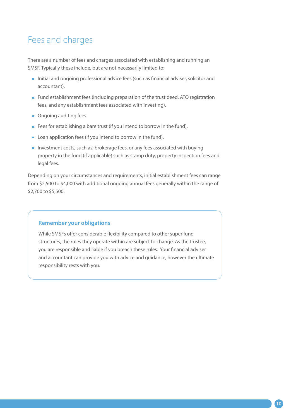# Fees and charges

There are a number of fees and charges associated with establishing and running an SMSF. Typically these include, but are not necessarily limited to:

- Initial and ongoing professional advice fees (such as financial adviser, solicitor and accountant).
- **Fund establishment fees (including preparation of the trust deed, ATO registration** fees, and any establishment fees associated with investing).
- **Ongoing auditing fees.**
- Fees for establishing a bare trust (if you intend to borrow in the fund).
- **Loan application fees (if you intend to borrow in the fund).**
- Investment costs, such as; brokerage fees, or any fees associated with buying property in the fund (if applicable) such as stamp duty, property inspection fees and legal fees.

Depending on your circumstances and requirements, initial establishment fees can range from \$2,500 to \$4,000 with additional ongoing annual fees generally within the range of \$2,700 to \$5,500.

## **Remember your obligations**

While SMSFs offer considerable flexibility compared to other super fund structures, the rules they operate within are subject to change. As the trustee, you are responsible and liable if you breach these rules. Your financial adviser and accountant can provide you with advice and guidance, however the ultimate responsibility rests with you.